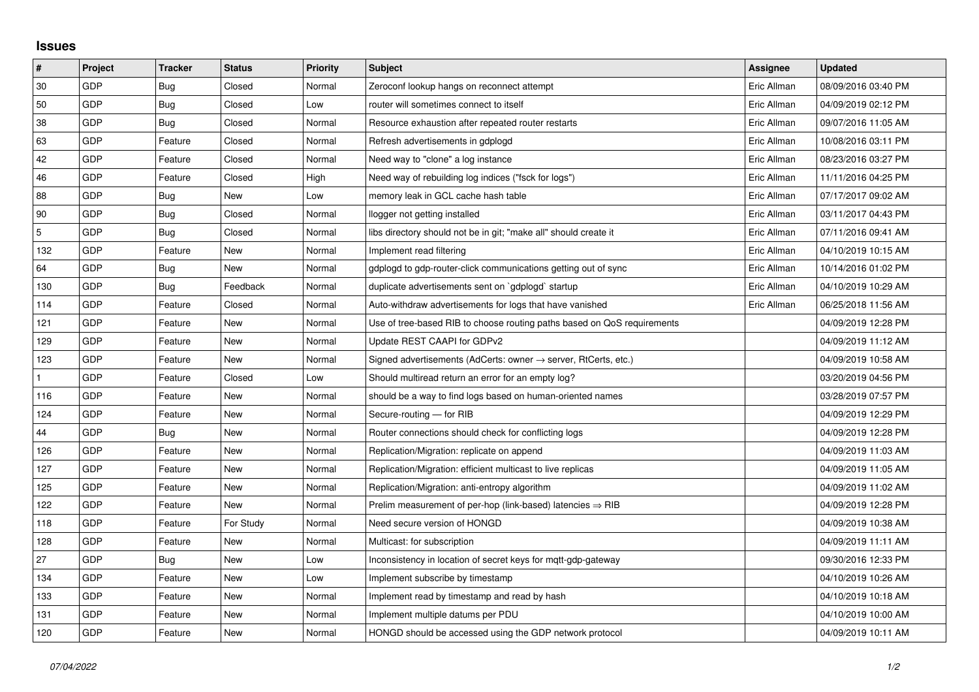## **Issues**

| #   | Project    | <b>Tracker</b> | <b>Status</b> | <b>Priority</b> | <b>Subject</b>                                                             | <b>Assignee</b> | <b>Updated</b>      |
|-----|------------|----------------|---------------|-----------------|----------------------------------------------------------------------------|-----------------|---------------------|
| 30  | GDP        | Bug            | Closed        | Normal          | Zeroconf lookup hangs on reconnect attempt                                 | Eric Allman     | 08/09/2016 03:40 PM |
| 50  | GDP        | <b>Bug</b>     | Closed        | Low             | router will sometimes connect to itself                                    | Eric Allman     | 04/09/2019 02:12 PM |
| 38  | GDP        | Bug            | Closed        | Normal          | Resource exhaustion after repeated router restarts                         | Eric Allman     | 09/07/2016 11:05 AM |
| 63  | GDP        | Feature        | Closed        | Normal          | Refresh advertisements in gdplogd                                          | Eric Allman     | 10/08/2016 03:11 PM |
| 42  | GDP        | Feature        | Closed        | Normal          | Need way to "clone" a log instance                                         | Eric Allman     | 08/23/2016 03:27 PM |
| 46  | <b>GDP</b> | Feature        | Closed        | High            | Need way of rebuilding log indices ("fsck for logs")                       | Eric Allman     | 11/11/2016 04:25 PM |
| 88  | GDP        | Bug            | <b>New</b>    | Low             | memory leak in GCL cache hash table                                        | Eric Allman     | 07/17/2017 09:02 AM |
| 90  | GDP        | Bug            | Closed        | Normal          | llogger not getting installed                                              | Eric Allman     | 03/11/2017 04:43 PM |
| 5   | GDP        | Bug            | Closed        | Normal          | libs directory should not be in git; "make all" should create it           | Eric Allman     | 07/11/2016 09:41 AM |
| 132 | GDP        | Feature        | New           | Normal          | Implement read filtering                                                   | Eric Allman     | 04/10/2019 10:15 AM |
| 64  | GDP        | Bug            | New           | Normal          | gdplogd to gdp-router-click communications getting out of sync             | Eric Allman     | 10/14/2016 01:02 PM |
| 130 | GDP        | Bug            | Feedback      | Normal          | duplicate advertisements sent on `gdplogd` startup                         | Eric Allman     | 04/10/2019 10:29 AM |
| 114 | GDP        | Feature        | Closed        | Normal          | Auto-withdraw advertisements for logs that have vanished                   | Eric Allman     | 06/25/2018 11:56 AM |
| 121 | GDP        | Feature        | New           | Normal          | Use of tree-based RIB to choose routing paths based on QoS requirements    |                 | 04/09/2019 12:28 PM |
| 129 | GDP        | Feature        | New           | Normal          | Update REST CAAPI for GDPv2                                                |                 | 04/09/2019 11:12 AM |
| 123 | GDP        | Feature        | New           | Normal          | Signed advertisements (AdCerts: owner $\rightarrow$ server, RtCerts, etc.) |                 | 04/09/2019 10:58 AM |
|     | GDP        | Feature        | Closed        | Low             | Should multiread return an error for an empty log?                         |                 | 03/20/2019 04:56 PM |
| 116 | GDP        | Feature        | New           | Normal          | should be a way to find logs based on human-oriented names                 |                 | 03/28/2019 07:57 PM |
| 124 | GDP        | Feature        | New           | Normal          | Secure-routing - for RIB                                                   |                 | 04/09/2019 12:29 PM |
| 44  | GDP        | Bug            | <b>New</b>    | Normal          | Router connections should check for conflicting logs                       |                 | 04/09/2019 12:28 PM |
| 126 | GDP        | Feature        | New           | Normal          | Replication/Migration: replicate on append                                 |                 | 04/09/2019 11:03 AM |
| 127 | GDP        | Feature        | New           | Normal          | Replication/Migration: efficient multicast to live replicas                |                 | 04/09/2019 11:05 AM |
| 125 | GDP        | Feature        | <b>New</b>    | Normal          | Replication/Migration: anti-entropy algorithm                              |                 | 04/09/2019 11:02 AM |
| 122 | GDP        | Feature        | New           | Normal          | Prelim measurement of per-hop (link-based) latencies $\Rightarrow$ RIB     |                 | 04/09/2019 12:28 PM |
| 118 | GDP        | Feature        | For Study     | Normal          | Need secure version of HONGD                                               |                 | 04/09/2019 10:38 AM |
| 128 | GDP        | Feature        | New           | Normal          | Multicast: for subscription                                                |                 | 04/09/2019 11:11 AM |
| 27  | GDP        | Bug            | New           | Low             | Inconsistency in location of secret keys for mqtt-gdp-gateway              |                 | 09/30/2016 12:33 PM |
| 134 | GDP        | Feature        | <b>New</b>    | Low             | Implement subscribe by timestamp                                           |                 | 04/10/2019 10:26 AM |
| 133 | GDP        | Feature        | New           | Normal          | Implement read by timestamp and read by hash                               |                 | 04/10/2019 10:18 AM |
| 131 | GDP        | Feature        | New           | Normal          | Implement multiple datums per PDU                                          |                 | 04/10/2019 10:00 AM |
| 120 | GDP        | Feature        | New           | Normal          | HONGD should be accessed using the GDP network protocol                    |                 | 04/09/2019 10:11 AM |